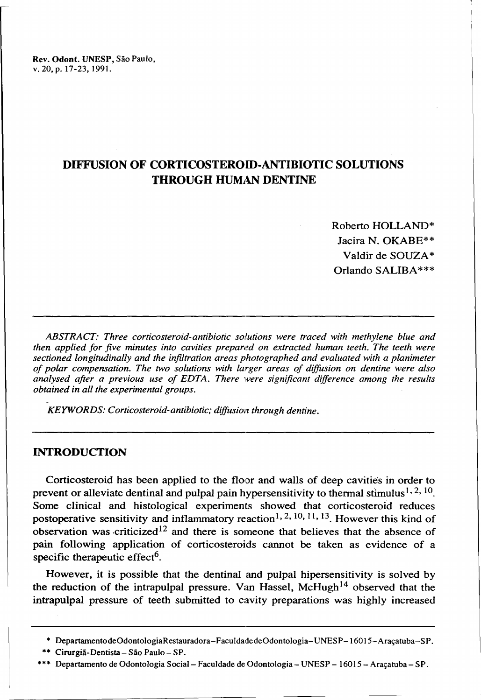Rev. Odont. UNESP, São Paulo, v.20,p. 17-23, 1991.

# **DIFFUSION OF CORTICOSTEROID-ANTIBIOTIC SOLUTIONS THROUGH HUMAN DENTINE**

Roberto HOLLAND\* lacira N. OKABE\*\* Valdir de SOUZA\* Orlando SALIBA\*\*\*

*ABSTRACT: Three corticosteroid-antibiotic solutions were traced with methylene blue and then applied for five minutes into cavities prepared on extracted human teeth. The teeth were sectioned longitudinally and the infiltration areas photographed and evaluated with a planimeter o/ polar compensation. The two solutions with larger areas o/ diffusion on dentine were also analysed afier a previous use o/ EDTA. There were significant difference among the results obtained in all the experimental groups.*

*KEYWORDS: Corticosteroid-antibiotic; diffusion through dentine.* 

### **INTRODUCTION**

Corticosteroid has been applied to the floor and walls of deep cavities in order to prevent or alleviate dentinal and pulpal pain hypersensitivity to thermal stimulus<sup>1, 2, 10</sup>. Some clínical and histological experiments showed that corticosteroid reduces postoperative sensitivity and inflammatory reaction<sup>1, 2, 10, 11, 13</sup>. However this kind of observation was criticized<sup>12</sup> and there is someone that believes that the absence of pain following application of corticosteroids cannot be taken as evidence of a specific therapeutic effect<sup>6</sup>.

However, it is possible that the dentinal and pulpal hipersensitivity is solved by the reduction of the intrapulpal pressure. Van Hassel, McHugh<sup>14</sup> observed that the intrapulpal pressure of teeth submitted to cavity preparations was highly increased

<sup>\*</sup> DepartamentodeOdontologiaRestauradora-FaculdadedeOdontologia-UNESP-16015-Araçatuba-SP.

<sup>\*\*</sup> Cirurgiã-Dentista- São Paulo- SP.

<sup>\*\*\*</sup> Departamento de Odontologia Social- Faculdade de Odontologia- UNESP - 16015 - Araçatuba- SP.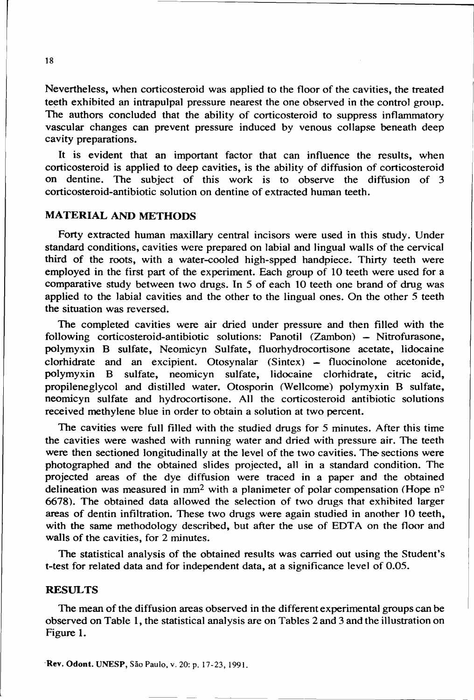Nevertheless, when corticosteroid was applied to the floor of the cavities, the treated teeth exhibited an intrapulpal pressure nearest the one observed in the control group. The authors concluded that the ability of corticosteroid to suppress intlammatory vascular changes can prevent pressure induced by venous collapse beneath deep cavity preparations.

It is evident that an important factor that can intluence the results, when corticosteroid is applied to deep cavities, is the ability of diffusion of corticosteroid on dentine. The subject of this work is to observe the diffusion of 3 corticosteroid-antibiotic solution on dentine of extracted human teeth.

### MATERIAL AND METHOOS

Forty extracted human maxillary central incisors were used in this study. Under standard conditions, cavities were prepared on labial and lingual walls of the cervical third of the roots, with a water-cooled high-spped handpiece. Thirty teeth were employed in the first part of the experiment. Each group of 10 teeth were used for a comparative study between two drugs. ln 5 of each 10 teeth one brand of drug was applied to the labial cavities and the other to the lingual ones. On the other 5 teeth the situation was reversed.

The completed cavities were air dried under pressure and then filled with the following corticosteroid-antibiotic solutions: Panotil (Zambon) - Nitrofurasone, polymyxin B sulfate, Neomicyn Sulfate, fluorhydrocortisone acetate, lidocaine  $clorhidrate$  and an excipient. Otosynalar (Sintex) - fluocinolone acetonide, polymyxin B sulfate, neomicyn sulfate, lidocaine clorhidrate, citric acid, propileneglycol and distiJIed water. Otosporin (Wellcome) polymyxin B sulfate, neomicyn sulfate and hydrocortisone. All the corticosteroid antibiotic solutions received methylene blue in order to obtain a solution at two percent.

The cavities were full filled with the studied drugs for 5 minutes. After this time the cavities were washed with running water and dried with pressure air. The teeth were then sectioned longitudinally at the level of the two cavities. The sections were photographed and the obtained slides projected, a11 in a standard condition. The projected areas of the dye diffusion were traced in a paper and the obtained delineation was measured in mm<sup>2</sup> with a planimeter of polar compensation (Hope  $n^{\circ}$ 6678). The obtained data allowed the seIection of two drugs that exhibited larger areas of dentin infiltration. These two drugs were again studied in another 10 teeth, with the same methodology described, but after the use of EDTA on the floor and walls of the cavities, for 2 minutes.

The statistical analysis of the obtained results was carried out using the Student's t-test for related data and for independent data, at a significance level of 0.05.

#### **RESULTS**

The mean of the diffusion areas observed in the different experimental groups can be observed on Table 1, the statistical analysis are on Tables 2 and 3 and the illustration on Figure 1.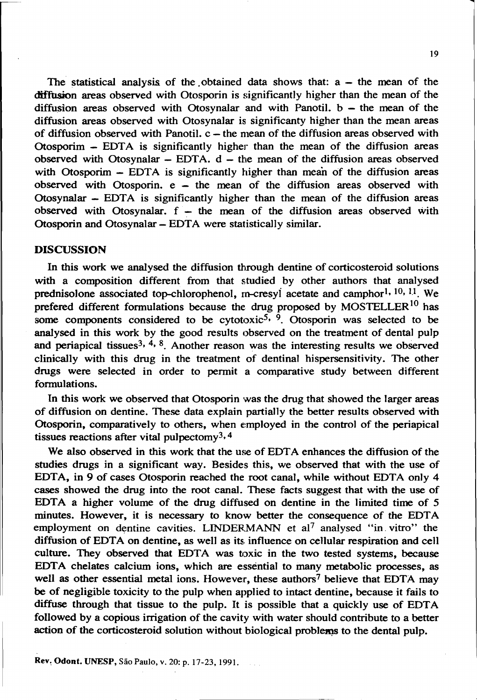The statistical analysis of the obtained data shows that:  $a -$  the mean of the diffusion areas observed with Otosporin is significantly higher than the mean of the diffusion areas observed with Otosynalar and with Panotil.  $b -$  the mean of the diffusion areas observed with Otosynalar is significanty higher than the mean areas of diffusion observed with Panotil. c – the mean of the diffusion areas observed with Otosporim  $-$  EDTA is significantly higher than the mean of the diffusion areas  $\frac{1}{2}$  observed with Otosynalar – EDTA.  $d$  – the mean of the diffusion areas observed with Otosporim  $-$  EDTA is significantly higher than mean of the diffusion areas observed with Otosporin.  $e - the mean$  of the diffusion areas observed with Otosynalar  $-$  EDTA is significantly higher than the mean of the diffusion areas observed with Otosynalar. f – the mean of the diffusion areas observed with Otosporin and Otosynalar - EDTA were statistically similar.

### DISCUSSION

ln this work we analysed the diffusion through dentine of corticosteroid solutions with a composition different from that studied by other authors that analysed prednisolone associated top-chlorophenol, rn-cresyl acetate and camphor<sup>1, 10, 11</sup>. We prefered different formulations because the drug proposed by MOSTELLER<sup>10</sup> has some components considered to be cytotoxic<sup>5, 9</sup>. Otosporin was selected to be analysed in this work by the good results observed on the treatment of dental pulp and periapical tissues<sup>3, 4, 8</sup>. Another reason was the interesting results we observed clinically with this drug in the treatment of dentinal hispersensitivity. The other drugs were selected in order to permit a comparative study between different formulations.

ln this work we observed that Otosporin was the drug that showed the larger areas of diffusion on dentine. These data explain partially the better results observed with Otosporin, comparatively to others, when employed in the control of the periapical tissues reactions after vital pulpectomy3.4

We also observed in this work that the use of EDTA enhances the diffusion of the studies drugs in a significant way. Besides this, we observed that with the use of EDTA, in 9 of cases Otosporin reached the root canal, while without EDTA only 4 cases showed the drug into the root canal. These facts suggest that with the use of EDTA a higher volume of the drug diffused on dentine in the limited time of  $5$ minutes. However, it is necessary to know better the consequence of the EDTA employment on dentine cavities. LINDERMANN et al<sup>7</sup> analysed "in vitro" the diffusion of EDTA on dentine, as well as its influence on cellular respiration and cell culture. They observed that EDTA was toxic in the two tested systems, because EDTA chelates calcium ions, which are essential to many metabolic processes, as well as other essential metal ions. However, these authors<sup>7</sup> believe that EDTA may be of negligible toxicity to the pulp when applied to intact dentine, because it fails to diffuse through that tissue to the pulp. It is possible that a quickly use of EDTA followed by a copious irrigation of the cavity with water should contribute to a better action of the corticosteroid solution without biological problems to the dental pulp.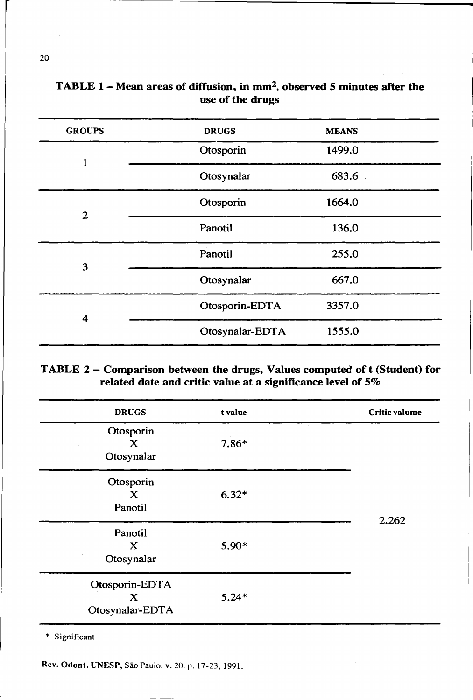| <b>GROUPS</b> | <b>DRUGS</b>    | <b>MEANS</b> |  |
|---------------|-----------------|--------------|--|
| 1             | Otosporin       | 1499.0       |  |
|               | Otosynalar      | 683.6        |  |
| $\mathbf{2}$  | Otosporin       | 1664.0       |  |
|               | Panotil         | 136.0        |  |
| 3             | Panotil         | 255.0        |  |
|               | Otosynalar      | 667.0        |  |
| 4             | Otosporin-EDTA  | 3357.0       |  |
|               | Otosynalar-EDTA | 1555.0       |  |

# TABLE  $1$  – Mean areas of diffusion, in mm<sup>2</sup>, observed 5 minutes after the use of the drugs

## TABLE 2 - Comparison between the drugs, Values computed of t (Student) for related date and critic value at a significance level of 5%

| <b>DRUGS</b>                           | t value | <b>Critic valume</b> |
|----------------------------------------|---------|----------------------|
| Otosporin<br>X<br>Otosynalar           | 7.86*   |                      |
| Otosporin<br>X<br>Panotil              | $6.32*$ | 2.262                |
| Panotil<br>X<br>Otosynalar             | 5.90*   |                      |
| Otosporin-EDTA<br>X<br>Otosynalar-EDTA | $5.24*$ |                      |

\* Significant

Rev. Odont. UNESP, São Paulo, v. 20: p. 17-23, 1991.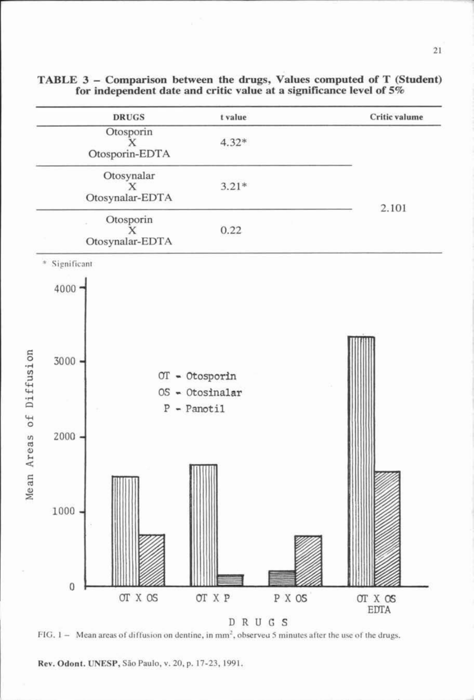

**TABLE 3 - Comparison between the drug , Values computed of T (Student) for independent date and critic vaJue at a significance levei of 5%**

FIG.  $1-$  Mean areas of diffusion on dentine, in mm<sup>2</sup>, observed 5 minutes after the use of the drugs.

Rev. Odont. UNESP, São Paulo, v. 20, p. 17-23, 1991.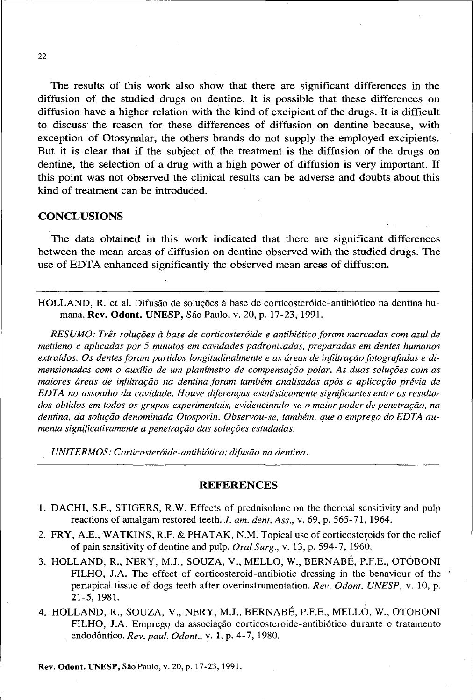The results of this work also show that there are significant differences in the diffusion of the studied drugs on dentine. It is possible that these differences on diffusion have a higher relation with the kind of excipient of the drugs. It is difficult to discuss the reason for these differences of diffusion on dentine because, with exception of Otosynalar, the others brands do not supply the employed excipients. But it is clear that if the subject of the treatment is the diffusion of the drugs on dentine, the selection of a drug with a high power of diffusion is very important. If this point was not observed the clinical results can be adverse and doubts about this kind of treatment can be introduced.

### **CONCLUSIONS**

The data obtained in this work indicated that there are significant differences between the mean areas of diffusion on dentine observed with the studied dnigs. The use of EDTA enhanced significantly the observed mean areas of diffusion.

HOLLAND, R. et aI. Difusãô de soluções à base de corticosteróide-antibiótico na dentina humana. Rev. Odont. UNESP, São Paulo, v. 20, p. 17-23, 1991.

*RESUMO: Três soluções à base de corticosteróide e antibiótico foram marcadas com azul de metileno e aplicadas por* 5 *minutos em cavidades padronizadas, preparadas em dentes humanos extraídos. Os dentes foram partidos longitudinalmente e as áreas de infiltração fotografadas e dimensionadas com o auxílio de um planímetro de compensação polar. As duas soluções com as maiores áreas de infiltração na dentina foram também analisadas após a aplicação prévia de EDTA no assoalho da cavidade. Houve diferenças estatisticamente significantes entre os resultados obtidos em todos os grupos experimentais, evidenciando-se o maior poder de penetração, na dentina, da solução denominada Otosporin. Observou-se, também, que o emprego do EDTA aumenta significativamente a penetração das soluções estudadas.*

*, UNrrERMOS: Corticosteróide-antibiótico; difusão na dentina.*

#### **REFERENCES**

- 1. DACHI, S.F., STIGERS, R.W. Effects of prednisolone on the thermal sensitivity and pulp reactions of amalgam restored teeth. *J. am. dent. Ass.*, v. 69, p. 565-71, 1964.
- 2. FRY, A.E., WATKINS, R.F. & PHATAK, N.M. Topical use of corticosteroids for the relief of pain sensitivity of dentine and pulp. *Oral Surg.,* V. 13, p. 594- 7, 1960.
- 3. HOLLAND, R., NERY, M.I., SOUZA, V., MELLO, W., BERNABÉ, P.F.E., OTOBONI FILHO, I.A. The effect of corticosteroid-antibiotic dressing in the behaviour of the periapical tissue of dogs teeth after overinstrumentation. *Rev. Odont. UNES?,* v. 10, p. 21-5, 1981.
- 4. HOLLAND, R., SOUZA, V., NERY, M.J., BERNABÉ, P.F.E., MELLO, W., OTOBONI FILHO, I.A. Emprego da associação corticosteroide-antibiótico durante o tratamento endodôntico. *Rev. paul. Odont.,* V. 1, p. 4-7, 1980.